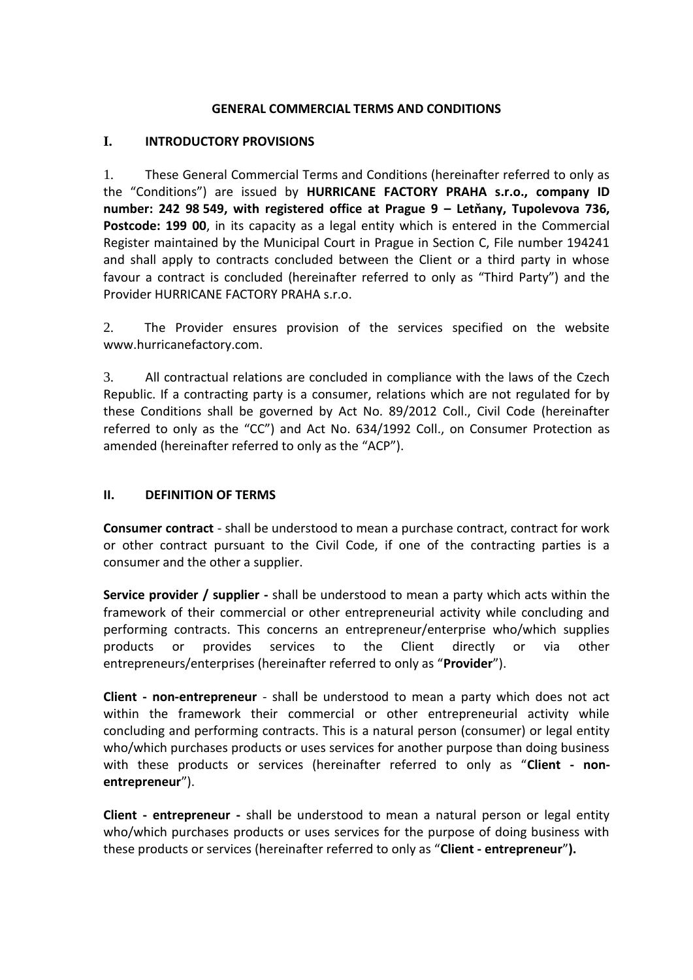#### **GENERAL COMMERCIAL TERMS AND CONDITIONS**

#### **I. INTRODUCTORY PROVISIONS**

1. These General Commercial Terms and Conditions (hereinafter referred to only as the "Conditions") are issued by **HURRICANE FACTORY PRAHA s.r.o., company ID number: 242 98 549, with registered office at Prague 9 – Letňany, Tupolevova 736,**  Postcode: 199 00, in its capacity as a legal entity which is entered in the Commercial Register maintained by the Municipal Court in Prague in Section C, File number 194241 and shall apply to contracts concluded between the Client or a third party in whose favour a contract is concluded (hereinafter referred to only as "Third Party") and the Provider HURRICANE FACTORY PRAHA s.r.o.

2. The Provider ensures provision of the services specified on the website www.hurricanefactory.com.

3. All contractual relations are concluded in compliance with the laws of the Czech Republic. If a contracting party is a consumer, relations which are not regulated for by these Conditions shall be governed by Act No. 89/2012 Coll., Civil Code (hereinafter referred to only as the "CC") and Act No. 634/1992 Coll., on Consumer Protection as amended (hereinafter referred to only as the "ACP").

#### **II. DEFINITION OF TERMS**

**Consumer contract** - shall be understood to mean a purchase contract, contract for work or other contract pursuant to the Civil Code, if one of the contracting parties is a consumer and the other a supplier.

**Service provider / supplier -** shall be understood to mean a party which acts within the framework of their commercial or other entrepreneurial activity while concluding and performing contracts. This concerns an entrepreneur/enterprise who/which supplies products or provides services to the Client directly or via other entrepreneurs/enterprises (hereinafter referred to only as "**Provider**").

**Client - non-entrepreneur** - shall be understood to mean a party which does not act within the framework their commercial or other entrepreneurial activity while concluding and performing contracts. This is a natural person (consumer) or legal entity who/which purchases products or uses services for another purpose than doing business with these products or services (hereinafter referred to only as "**Client - nonentrepreneur**").

**Client - entrepreneur -** shall be understood to mean a natural person or legal entity who/which purchases products or uses services for the purpose of doing business with these products or services (hereinafter referred to only as "**Client - entrepreneur**"**).**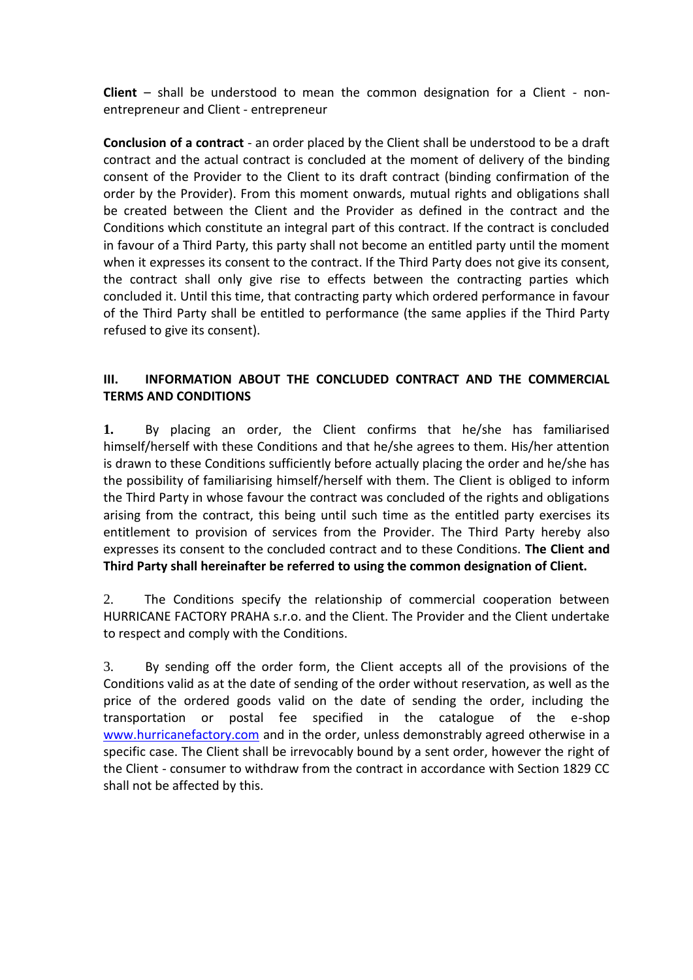**Client** – shall be understood to mean the common designation for a Client - nonentrepreneur and Client - entrepreneur

**Conclusion of a contract** - an order placed by the Client shall be understood to be a draft contract and the actual contract is concluded at the moment of delivery of the binding consent of the Provider to the Client to its draft contract (binding confirmation of the order by the Provider). From this moment onwards, mutual rights and obligations shall be created between the Client and the Provider as defined in the contract and the Conditions which constitute an integral part of this contract. If the contract is concluded in favour of a Third Party, this party shall not become an entitled party until the moment when it expresses its consent to the contract. If the Third Party does not give its consent, the contract shall only give rise to effects between the contracting parties which concluded it. Until this time, that contracting party which ordered performance in favour of the Third Party shall be entitled to performance (the same applies if the Third Party refused to give its consent).

## **III. INFORMATION ABOUT THE CONCLUDED CONTRACT AND THE COMMERCIAL TERMS AND CONDITIONS**

**1.** By placing an order, the Client confirms that he/she has familiarised himself/herself with these Conditions and that he/she agrees to them. His/her attention is drawn to these Conditions sufficiently before actually placing the order and he/she has the possibility of familiarising himself/herself with them. The Client is obliged to inform the Third Party in whose favour the contract was concluded of the rights and obligations arising from the contract, this being until such time as the entitled party exercises its entitlement to provision of services from the Provider. The Third Party hereby also expresses its consent to the concluded contract and to these Conditions. **The Client and Third Party shall hereinafter be referred to using the common designation of Client.**

2. The Conditions specify the relationship of commercial cooperation between HURRICANE FACTORY PRAHA s.r.o. and the Client. The Provider and the Client undertake to respect and comply with the Conditions.

3. By sending off the order form, the Client accepts all of the provisions of the Conditions valid as at the date of sending of the order without reservation, as well as the price of the ordered goods valid on the date of sending the order, including the transportation or postal fee specified in the catalogue of the e-shop [www.hurricanefactory.com](http://www.hurricanefactory.com/) and in the order, unless demonstrably agreed otherwise in a specific case. The Client shall be irrevocably bound by a sent order, however the right of the Client - consumer to withdraw from the contract in accordance with Section 1829 CC shall not be affected by this.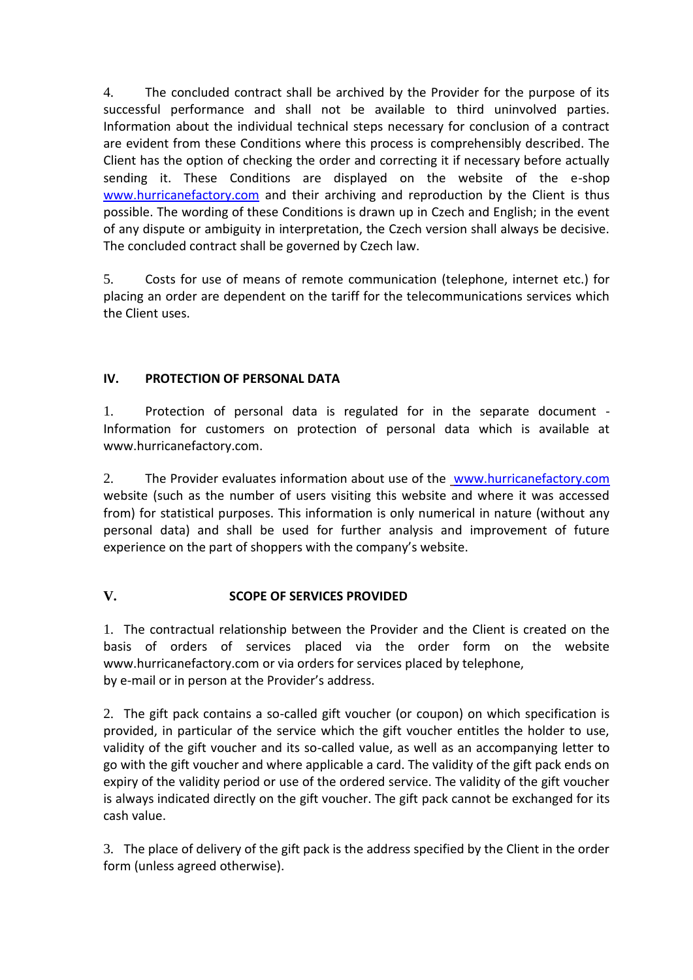4. The concluded contract shall be archived by the Provider for the purpose of its successful performance and shall not be available to third uninvolved parties. Information about the individual technical steps necessary for conclusion of a contract are evident from these Conditions where this process is comprehensibly described. The Client has the option of checking the order and correcting it if necessary before actually sending it. These Conditions are displayed on the website of the e-shop [www.hurricanefactory.com](http://www.hurricanefactory.com/) and their archiving and reproduction by the Client is thus possible. The wording of these Conditions is drawn up in Czech and English; in the event of any dispute or ambiguity in interpretation, the Czech version shall always be decisive. The concluded contract shall be governed by Czech law.

5. Costs for use of means of remote communication (telephone, internet etc.) for placing an order are dependent on the tariff for the telecommunications services which the Client uses.

## **IV. PROTECTION OF PERSONAL DATA**

1. Protection of personal data is regulated for in the separate document - Information for customers on protection of personal data which is available at www.hurricanefactory.com.

2. The Provider evaluates information about use of the [www.hurricanefactory.com](http://www.hurricanefactory.com/) website (such as the number of users visiting this website and where it was accessed from) for statistical purposes. This information is only numerical in nature (without any personal data) and shall be used for further analysis and improvement of future experience on the part of shoppers with the company's website.

## **V. SCOPE OF SERVICES PROVIDED**

1. The contractual relationship between the Provider and the Client is created on the basis of orders of services placed via the order form on the website www.hurricanefactory.com or via orders for services placed by telephone, by e-mail or in person at the Provider's address.

2. The gift pack contains a so-called gift voucher (or coupon) on which specification is provided, in particular of the service which the gift voucher entitles the holder to use, validity of the gift voucher and its so-called value, as well as an accompanying letter to go with the gift voucher and where applicable a card. The validity of the gift pack ends on expiry of the validity period or use of the ordered service. The validity of the gift voucher is always indicated directly on the gift voucher. The gift pack cannot be exchanged for its cash value.

3. The place of delivery of the gift pack is the address specified by the Client in the order form (unless agreed otherwise).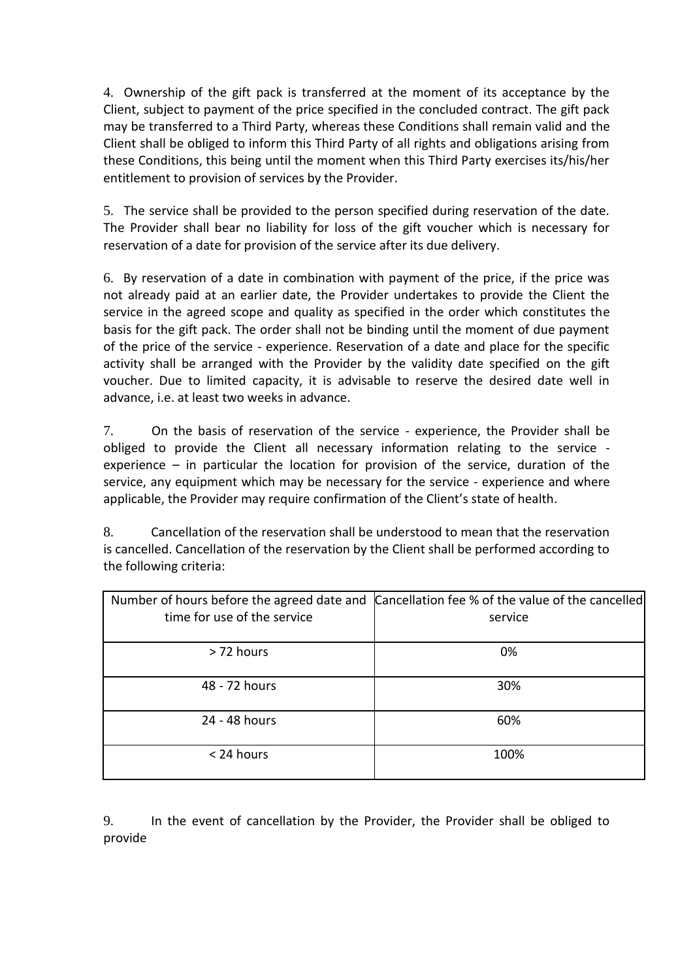4. Ownership of the gift pack is transferred at the moment of its acceptance by the Client, subject to payment of the price specified in the concluded contract. The gift pack may be transferred to a Third Party, whereas these Conditions shall remain valid and the Client shall be obliged to inform this Third Party of all rights and obligations arising from these Conditions, this being until the moment when this Third Party exercises its/his/her entitlement to provision of services by the Provider.

5. The service shall be provided to the person specified during reservation of the date. The Provider shall bear no liability for loss of the gift voucher which is necessary for reservation of a date for provision of the service after its due delivery.

6. By reservation of a date in combination with payment of the price, if the price was not already paid at an earlier date, the Provider undertakes to provide the Client the service in the agreed scope and quality as specified in the order which constitutes the basis for the gift pack. The order shall not be binding until the moment of due payment of the price of the service - experience. Reservation of a date and place for the specific activity shall be arranged with the Provider by the validity date specified on the gift voucher. Due to limited capacity, it is advisable to reserve the desired date well in advance, i.e. at least two weeks in advance.

7. On the basis of reservation of the service - experience, the Provider shall be obliged to provide the Client all necessary information relating to the service experience – in particular the location for provision of the service, duration of the service, any equipment which may be necessary for the service - experience and where applicable, the Provider may require confirmation of the Client's state of health.

8. Cancellation of the reservation shall be understood to mean that the reservation is cancelled. Cancellation of the reservation by the Client shall be performed according to the following criteria:

| time for use of the service | Number of hours before the agreed date and Cancellation fee % of the value of the cancelled<br>service |
|-----------------------------|--------------------------------------------------------------------------------------------------------|
|                             |                                                                                                        |
| > 72 hours                  | 0%                                                                                                     |
| 48 - 72 hours               | 30%                                                                                                    |
| 24 - 48 hours               | 60%                                                                                                    |
| < 24 hours                  | 100%                                                                                                   |

9. In the event of cancellation by the Provider, the Provider shall be obliged to provide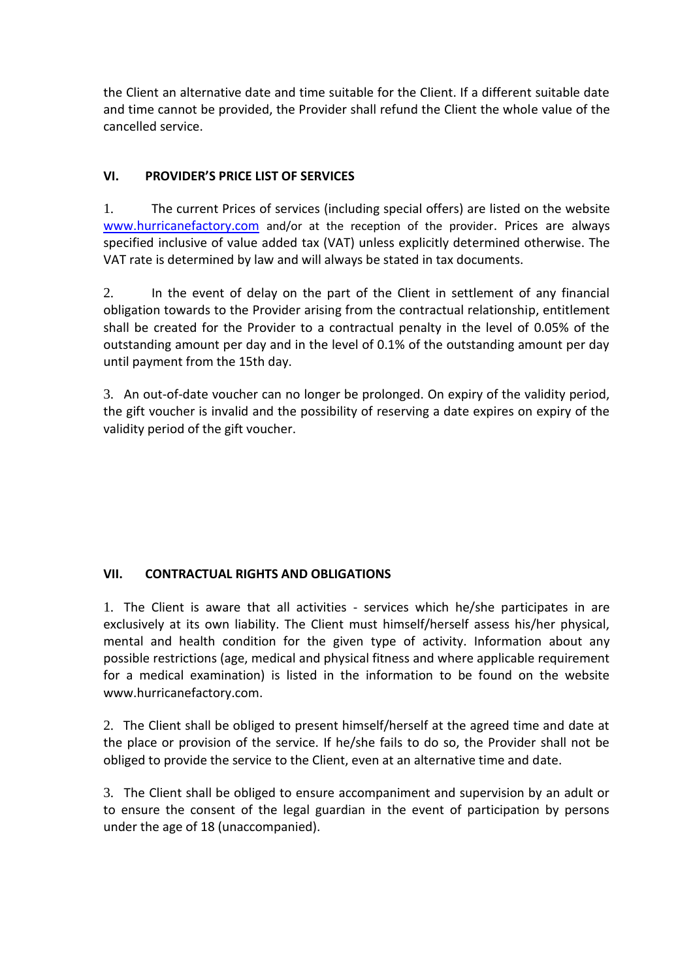the Client an alternative date and time suitable for the Client. If a different suitable date and time cannot be provided, the Provider shall refund the Client the whole value of the cancelled service.

### **VI. PROVIDER'S PRICE LIST OF SERVICES**

1. The current Prices of services (including special offers) are listed on the website [www.hurricanefactory.com](http://www.hurricanefactory.com/) and/or at the reception of the provider. Prices are always specified inclusive of value added tax (VAT) unless explicitly determined otherwise. The VAT rate is determined by law and will always be stated in tax documents.

2. In the event of delay on the part of the Client in settlement of any financial obligation towards to the Provider arising from the contractual relationship, entitlement shall be created for the Provider to a contractual penalty in the level of 0.05% of the outstanding amount per day and in the level of 0.1% of the outstanding amount per day until payment from the 15th day.

3. An out-of-date voucher can no longer be prolonged. On expiry of the validity period, the gift voucher is invalid and the possibility of reserving a date expires on expiry of the validity period of the gift voucher.

### **VII. CONTRACTUAL RIGHTS AND OBLIGATIONS**

1. The Client is aware that all activities - services which he/she participates in are exclusively at its own liability. The Client must himself/herself assess his/her physical, mental and health condition for the given type of activity. Information about any possible restrictions (age, medical and physical fitness and where applicable requirement for a medical examination) is listed in the information to be found on the website www.hurricanefactory.com.

2. The Client shall be obliged to present himself/herself at the agreed time and date at the place or provision of the service. If he/she fails to do so, the Provider shall not be obliged to provide the service to the Client, even at an alternative time and date.

3. The Client shall be obliged to ensure accompaniment and supervision by an adult or to ensure the consent of the legal guardian in the event of participation by persons under the age of 18 (unaccompanied).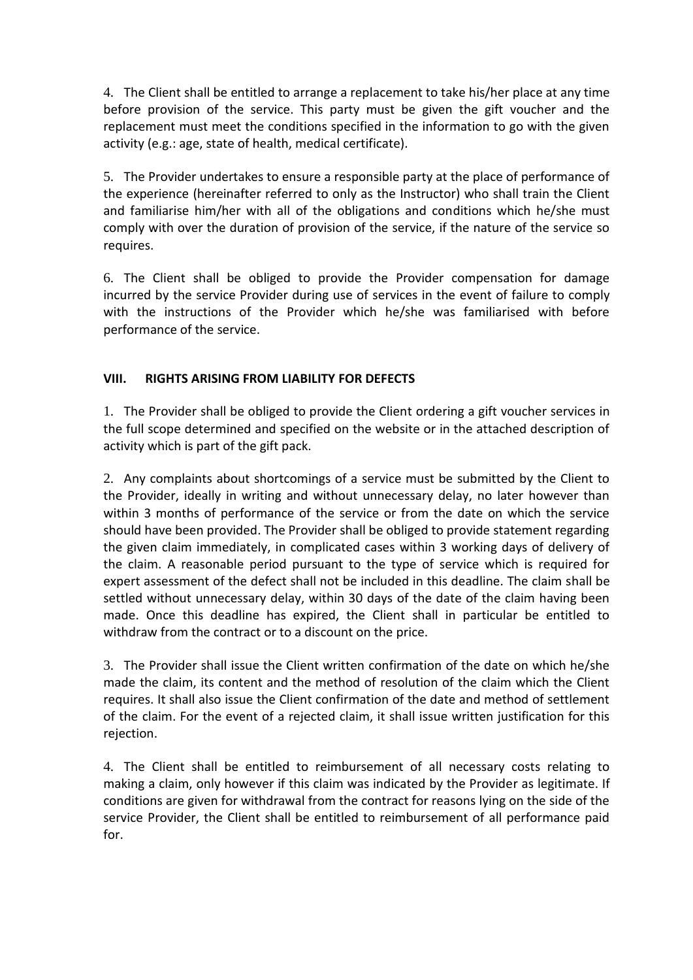4. The Client shall be entitled to arrange a replacement to take his/her place at any time before provision of the service. This party must be given the gift voucher and the replacement must meet the conditions specified in the information to go with the given activity (e.g.: age, state of health, medical certificate).

5. The Provider undertakes to ensure a responsible party at the place of performance of the experience (hereinafter referred to only as the Instructor) who shall train the Client and familiarise him/her with all of the obligations and conditions which he/she must comply with over the duration of provision of the service, if the nature of the service so requires.

6. The Client shall be obliged to provide the Provider compensation for damage incurred by the service Provider during use of services in the event of failure to comply with the instructions of the Provider which he/she was familiarised with before performance of the service.

### **VIII. RIGHTS ARISING FROM LIABILITY FOR DEFECTS**

1. The Provider shall be obliged to provide the Client ordering a gift voucher services in the full scope determined and specified on the website or in the attached description of activity which is part of the gift pack.

2. Any complaints about shortcomings of a service must be submitted by the Client to the Provider, ideally in writing and without unnecessary delay, no later however than within 3 months of performance of the service or from the date on which the service should have been provided. The Provider shall be obliged to provide statement regarding the given claim immediately, in complicated cases within 3 working days of delivery of the claim. A reasonable period pursuant to the type of service which is required for expert assessment of the defect shall not be included in this deadline. The claim shall be settled without unnecessary delay, within 30 days of the date of the claim having been made. Once this deadline has expired, the Client shall in particular be entitled to withdraw from the contract or to a discount on the price.

3. The Provider shall issue the Client written confirmation of the date on which he/she made the claim, its content and the method of resolution of the claim which the Client requires. It shall also issue the Client confirmation of the date and method of settlement of the claim. For the event of a rejected claim, it shall issue written justification for this rejection.

4. The Client shall be entitled to reimbursement of all necessary costs relating to making a claim, only however if this claim was indicated by the Provider as legitimate. If conditions are given for withdrawal from the contract for reasons lying on the side of the service Provider, the Client shall be entitled to reimbursement of all performance paid for.